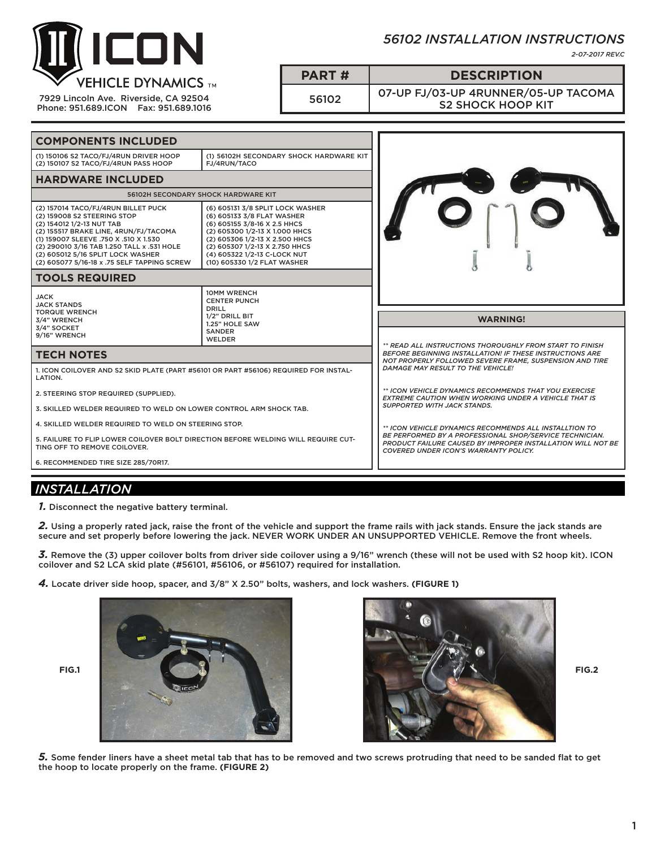

7929 Lincoln Ave. Riverside, CA 92504 Phone: 951.689.ICON Fax: 951.689.1016

## *56102 INSTALLATION INSTRUCTIONS*

*2-07-2017 REV.C*

**PART # DESCRIPTION**

<sup>56102</sup> 07-UP FJ/03-UP 4RUNNER/05-UP TACOMA S2 SHOCK HOOP KIT

| <b>COMPONENTS INCLUDED</b>                                                                                                                                                                                                                                                                                          |                                                                                                                                                                                                                                                                     |                                                                                                                                                                                        |
|---------------------------------------------------------------------------------------------------------------------------------------------------------------------------------------------------------------------------------------------------------------------------------------------------------------------|---------------------------------------------------------------------------------------------------------------------------------------------------------------------------------------------------------------------------------------------------------------------|----------------------------------------------------------------------------------------------------------------------------------------------------------------------------------------|
| (1) 150106 S2 TACO/FJ/4RUN DRIVER HOOP<br>(2) 150107 S2 TACO/FJ/4RUN PASS HOOP                                                                                                                                                                                                                                      | (1) 56102H SECONDARY SHOCK HARDWARE KIT<br>FJ/4RUN/TACO                                                                                                                                                                                                             |                                                                                                                                                                                        |
| <b>HARDWARE INCLUDED</b>                                                                                                                                                                                                                                                                                            |                                                                                                                                                                                                                                                                     |                                                                                                                                                                                        |
| <b>56102H SECONDARY SHOCK HARDWARE KIT</b>                                                                                                                                                                                                                                                                          |                                                                                                                                                                                                                                                                     |                                                                                                                                                                                        |
| (2) 157014 TACO/FJ/4RUN BILLET PUCK<br>(2) 159008 S2 STEERING STOP<br>(2) 154012 1/2-13 NUT TAB<br>(2) 155517 BRAKE LINE, 4RUN/FJ/TACOMA<br>(1) 159007 SLEEVE .750 X .510 X 1.530<br>(2) 290010 3/16 TAB 1.250 TALL x .531 HOLE<br>(2) 605012 5/16 SPLIT LOCK WASHER<br>(2) 605077 5/16-18 x .75 SELF TAPPING SCREW | (6) 605131 3/8 SPLIT LOCK WASHER<br>(6) 605133 3/8 FLAT WASHER<br>(6) 605155 3/8-16 X 2.5 HHCS<br>(2) 605300 1/2-13 X 1.000 HHCS<br>(2) 605306 1/2-13 X 2.500 HHCS<br>(2) 605307 1/2-13 X 2.750 HHCS<br>(4) 605322 1/2-13 C-LOCK NUT<br>(10) 605330 1/2 FLAT WASHER |                                                                                                                                                                                        |
| <b>TOOLS REQUIRED</b>                                                                                                                                                                                                                                                                                               |                                                                                                                                                                                                                                                                     |                                                                                                                                                                                        |
| <b>JACK</b><br><b>JACK STANDS</b><br><b>TORQUE WRENCH</b><br>3/4" WRENCH<br>3/4" SOCKET<br>9/16" WRENCH                                                                                                                                                                                                             | <b>10MM WRENCH</b><br><b>CENTER PUNCH</b><br><b>DRILL</b><br>1/2" DRILL BIT<br>1.25" HOLE SAW<br><b>SANDER</b><br><b>WELDER</b>                                                                                                                                     | <b>WARNING!</b>                                                                                                                                                                        |
| <b>TECH NOTES</b>                                                                                                                                                                                                                                                                                                   |                                                                                                                                                                                                                                                                     | ** READ ALL INSTRUCTIONS THOROUGHLY FROM START TO FINISH<br><b>BEFORE BEGINNING INSTALLATION! IF THESE INSTRUCTIONS ARE</b><br>NOT PROPERLY FOLLOWED SEVERE FRAME. SUSPENSION AND TIRE |
| 1. ICON COILOVER AND S2 SKID PLATE (PART #56101 OR PART #56106) REQUIRED FOR INSTAL-                                                                                                                                                                                                                                |                                                                                                                                                                                                                                                                     | DAMAGE MAY RESULT TO THE VEHICLE!                                                                                                                                                      |
| LATION.                                                                                                                                                                                                                                                                                                             |                                                                                                                                                                                                                                                                     |                                                                                                                                                                                        |
| 2. STEERING STOP REQUIRED (SUPPLIED).                                                                                                                                                                                                                                                                               |                                                                                                                                                                                                                                                                     | ** ICON VEHICLE DYNAMICS RECOMMENDS THAT YOU EXERCISE<br><b>EXTREME CAUTION WHEN WORKING UNDER A VEHICLE THAT IS</b>                                                                   |
| 3. SKILLED WELDER REQUIRED TO WELD ON LOWER CONTROL ARM SHOCK TAB.                                                                                                                                                                                                                                                  |                                                                                                                                                                                                                                                                     | <b>SUPPORTED WITH JACK STANDS.</b>                                                                                                                                                     |
| 4. SKILLED WELDER REQUIRED TO WELD ON STEERING STOP.                                                                                                                                                                                                                                                                |                                                                                                                                                                                                                                                                     | ** ICON VEHICLE DYNAMICS RECOMMENDS ALL INSTALLTION TO                                                                                                                                 |
| 5. FAILURE TO FLIP LOWER COILOVER BOLT DIRECTION BEFORE WELDING WILL REQUIRE CUT-<br>TING OFF TO REMOVE COILOVER.                                                                                                                                                                                                   |                                                                                                                                                                                                                                                                     | <b>BE PERFORMED BY A PROFESSIONAL SHOP/SERVICE TECHNICIAN.</b><br>PRODUCT FAILURE CAUSED BY IMPROPER INSTALLATION WILL NOT BE<br><b>COVERED UNDER ICON'S WARRANTY POLICY.</b>          |
| 6. RECOMMENDED TIRE SIZE 285/70R17.                                                                                                                                                                                                                                                                                 |                                                                                                                                                                                                                                                                     |                                                                                                                                                                                        |

## *INSTALLATION*

*1.* Disconnect the negative battery terminal.

2. Using a properly rated jack, raise the front of the vehicle and support the frame rails with jack stands. Ensure the jack stands are secure and set properly before lowering the jack. NEVER WORK UNDER AN UNSUPPORTED VEHICLE. Remove the front wheels.

*3.* Remove the (3) upper coilover bolts from driver side coilover using a 9/16" wrench (these will not be used with S2 hoop kit). ICON coilover and S2 LCA skid plate (#56101, #56106, or #56107) required for installation.

*4.* Locate driver side hoop, spacer, and 3/8" X 2.50" bolts, washers, and lock washers. **(FIGURE 1)**





*5.* Some fender liners have a sheet metal tab that has to be removed and two screws protruding that need to be sanded flat to get the hoop to locate properly on the frame. **(FIGURE 2)**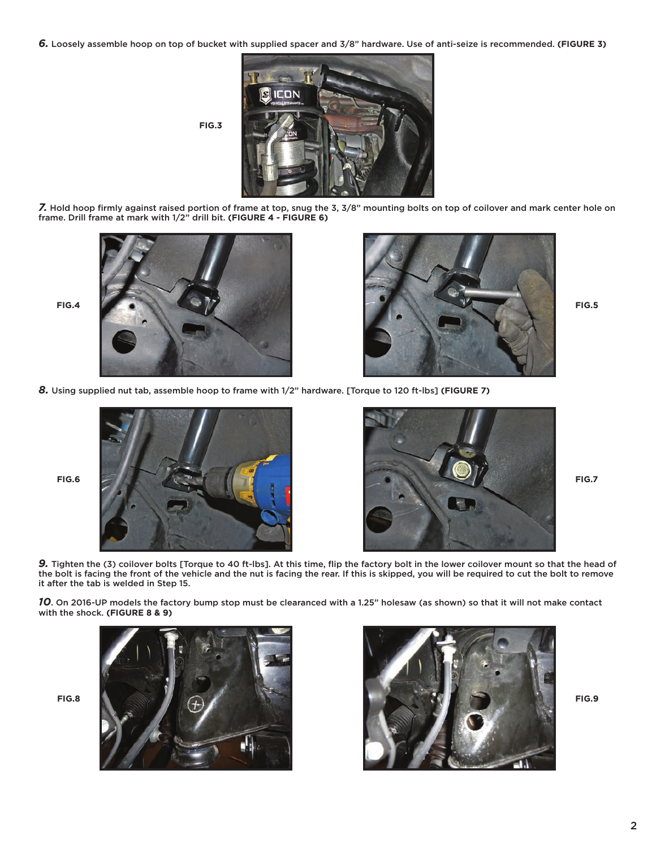*6.* Loosely assemble hoop on top of bucket with supplied spacer and 3/8" hardware. Use of anti-seize is recommended. **(FIGURE 3)**



*7.* Hold hoop firmly against raised portion of frame at top, snug the 3, 3/8" mounting bolts on top of coilover and mark center hole on frame. Drill frame at mark with 1/2" drill bit. **(FIGURE 4 - FIGURE 6)**





*8.* Using supplied nut tab, assemble hoop to frame with 1/2" hardware. [Torque to 120 ft-lbs] **(FIGURE 7)**





*9.* Tighten the (3) coilover bolts [Torque to 40 ft-lbs]. At this time, flip the factory bolt in the lower coilover mount so that the head of the bolt is facing the front of the vehicle and the nut is facing the rear. If this is skipped, you will be required to cut the bolt to remove it after the tab is welded in Step 15.

*10*. On 2016-UP models the factory bump stop must be clearanced with a 1.25" holesaw (as shown) so that it will not make contact with the shock. **(FIGURE 8 & 9)**



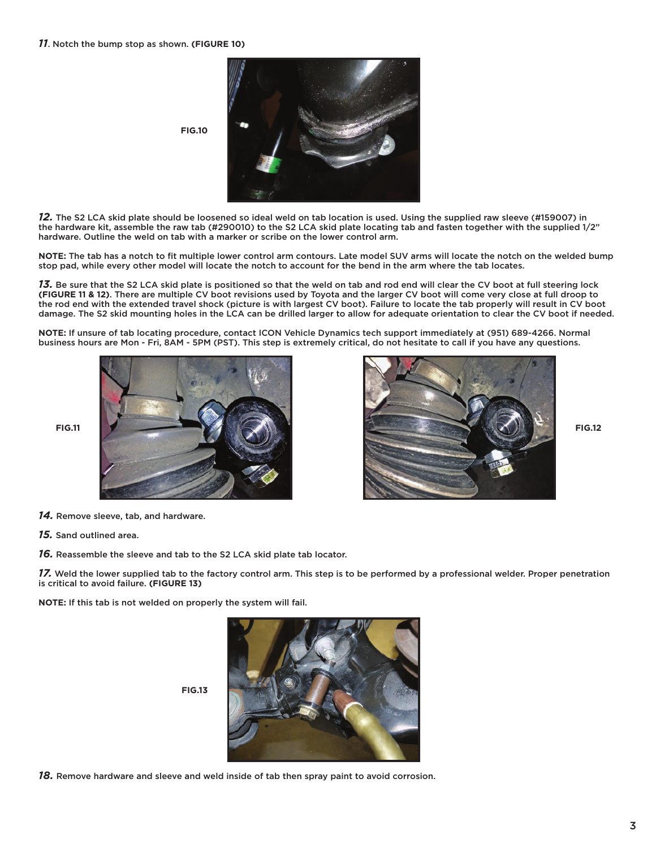

*12.* The S2 LCA skid plate should be loosened so ideal weld on tab location is used. Using the supplied raw sleeve (#159007) in the hardware kit, assemble the raw tab (#290010) to the S2 LCA skid plate locating tab and fasten together with the supplied 1/2" hardware. Outline the weld on tab with a marker or scribe on the lower control arm.

**NOTE:** The tab has a notch to fit multiple lower control arm contours. Late model SUV arms will locate the notch on the welded bump stop pad, while every other model will locate the notch to account for the bend in the arm where the tab locates.

*13.* Be sure that the S2 LCA skid plate is positioned so that the weld on tab and rod end will clear the CV boot at full steering lock **(FIGURE 11 & 12)**. There are multiple CV boot revisions used by Toyota and the larger CV boot will come very close at full droop to the rod end with the extended travel shock (picture is with largest CV boot). Failure to locate the tab properly will result in CV boot damage. The S2 skid mounting holes in the LCA can be drilled larger to allow for adequate orientation to clear the CV boot if needed.

**NOTE:** If unsure of tab locating procedure, contact ICON Vehicle Dynamics tech support immediately at (951) 689-4266. Normal business hours are Mon - Fri, 8AM - 5PM (PST). This step is extremely critical, do not hesitate to call if you have any questions.



**FIG.10**



*14.* Remove sleeve, tab, and hardware.

*15.* Sand outlined area.

*16.* Reassemble the sleeve and tab to the S2 LCA skid plate tab locator.

*17.* Weld the lower supplied tab to the factory control arm. This step is to be performed by a professional welder. Proper penetration is critical to avoid failure. **(FIGURE 13)**

**NOTE:** If this tab is not welded on properly the system will fail.



**FIG.13**

*18.* Remove hardware and sleeve and weld inside of tab then spray paint to avoid corrosion.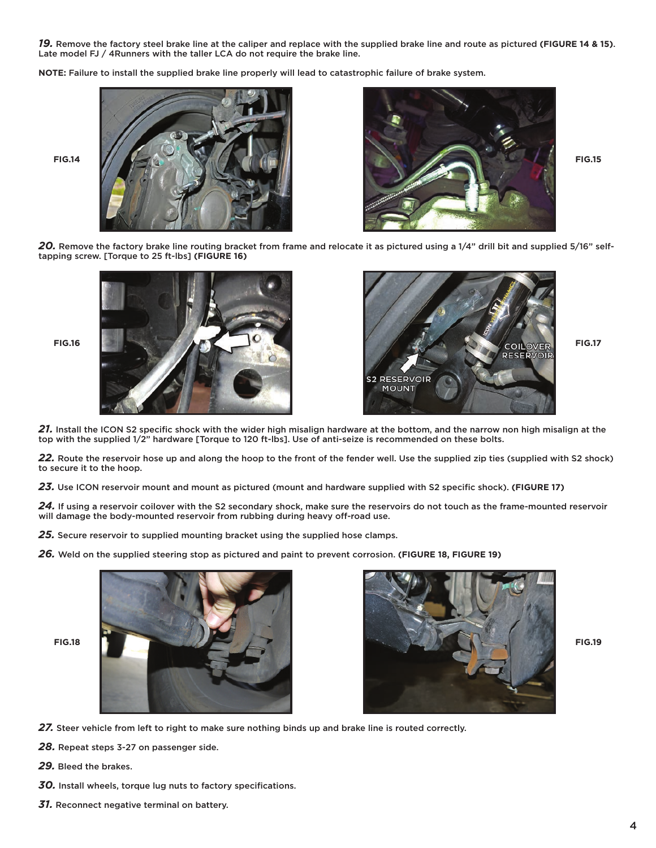*19.* Remove the factory steel brake line at the caliper and replace with the supplied brake line and route as pictured **(FIGURE 14 & 15)**. Late model FJ / 4Runners with the taller LCA do not require the brake line.

**NOTE:** Failure to install the supplied brake line properly will lead to catastrophic failure of brake system.





*20.* Remove the factory brake line routing bracket from frame and relocate it as pictured using a 1/4" drill bit and supplied 5/16" selftapping screw. [Torque to 25 ft-lbs] **(FIGURE 16)**





*21.* Install the ICON S2 specific shock with the wider high misalign hardware at the bottom, and the narrow non high misalign at the top with the supplied 1/2" hardware [Torque to 120 ft-lbs]. Use of anti-seize is recommended on these bolts.

*22.* Route the reservoir hose up and along the hoop to the front of the fender well. Use the supplied zip ties (supplied with S2 shock) to secure it to the hoop.

*23.* Use ICON reservoir mount and mount as pictured (mount and hardware supplied with S2 specific shock). **(FIGURE 17)**

*24.* If using a reservoir coilover with the S2 secondary shock, make sure the reservoirs do not touch as the frame-mounted reservoir will damage the body-mounted reservoir from rubbing during heavy off-road use.

*25.* Secure reservoir to supplied mounting bracket using the supplied hose clamps.

*26.* Weld on the supplied steering stop as pictured and paint to prevent corrosion. **(FIGURE 18, FIGURE 19)**





27. Steer vehicle from left to right to make sure nothing binds up and brake line is routed correctly.

*28.* Repeat steps 3-27 on passenger side.

- *29.* Bleed the brakes.
- *30.* Install wheels, torque lug nuts to factory specifications.
- *31.* Reconnect negative terminal on battery.